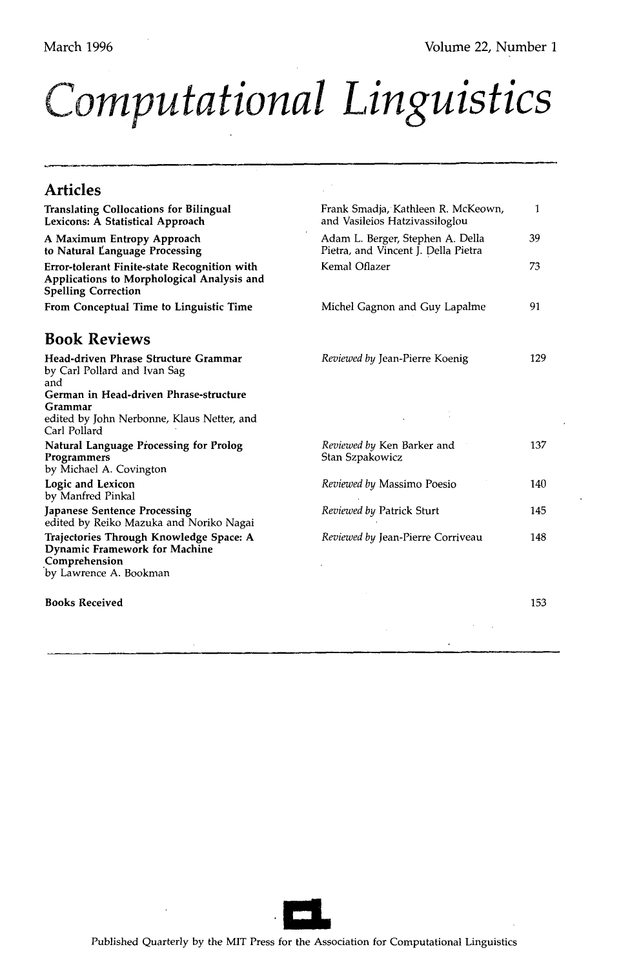# *<u>Computational Linguistics</u>*

#### **Articles**  Translating Collocations for Bilingual Lexicons: A Statistical Approach A Maximum Entropy Approach to Natural I~anguage **Processing**  Error-tolerant Finite-state Recognition with Applications to Morphological Analysis and Spelling Correction From Conceptual Time to Linguistic Time **Book Reviews Head-driven Phrase** Structure Grammar by Carl Pollard and Ivan Sag and German in Head-driven Phrase-structure Grammar edited by John Nerbonne, Klaus Netter, and Carl Pollard Natural Language Processing for Prolog Programmers by Michael A. Covington Logic and Lexicon by Manfred Pinkal **Japanese Sentence Processing**  edited by Reiko Mazuka and Noriko Nagai Trajectories Through **Knowledge Space:** A Dynamic Framework for Machine .Comprehension by Lawrence A. Bookman **Books Received**  Frank Smadja, Kathleen R. McKeown, 1 and Vasileios Hatzivassiloglou Adam L. Berger, Stephen A. Della 39 Pietra, and Vincent J. Della Pietra Kemal Oflazer 73 Michel Gagnon and Guy Lapalme 91 *Reviewed by Jean-Pierre Koenig* 129 *Reviewed by Ken Barker and* 137 Stan Szpakowicz *Reviewed by* Massimo Poesio 140 *Reviewed by Patrick Sturt* 145 *Reviewed by* Jean-Pierre Corriveau 148 153

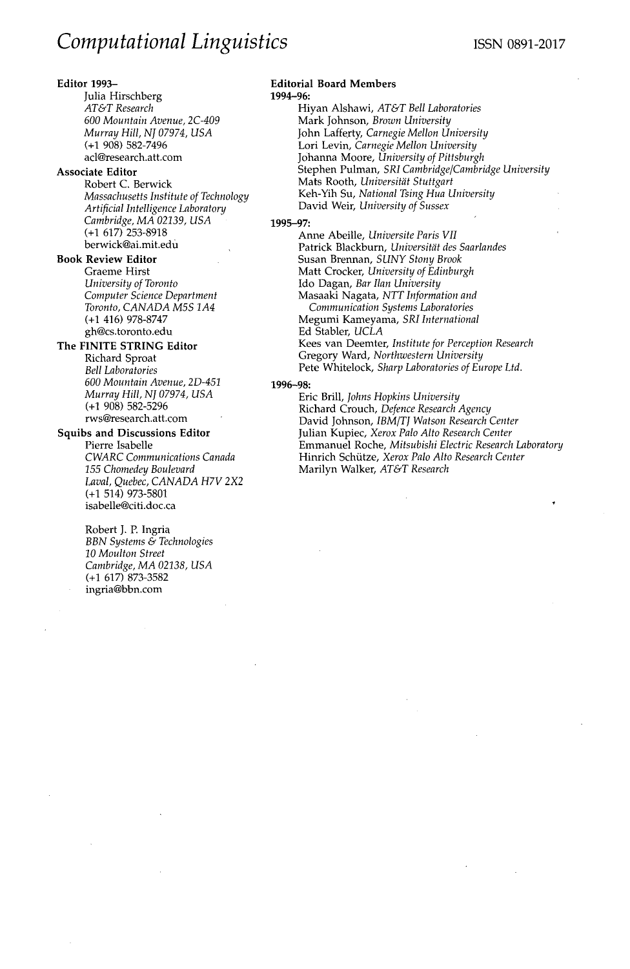### **Editor** 1993-

Julia Hirschberg *AT&T Research 600 Mountain Avenue, 2C-409 Murray Hill, NJ 07974, USA*  **(+1** 908) 582-7496 acl@research.att.com

### **Associate Editor**

Robert C. Berwick *Massachusetts Institute of Technology Artificial Intelligence Laboratory Cambridge, MA 02139, USA*  **(+1** 617) 253-8918 berwick@ai.mit.edu

#### **Book Review Editor**

Graeme Hirst *University of Toronto Computer Science Department Toronto, CANADA M5S 1A4*  (+1 416) 978-8747 gh@cs.toronto.edu

#### **The FINITE STRING Editor**

Richard Sproat *Bell Laboratories 600 Mountain Avenue, 2D-451 Murray Hill, NJ 07974, USA*  **(+1** 908) 582-5296 rws@research.att.com

## **Squibs and Discussions Editor**

Pierre Isabelle *CWARC Communications Canada 155 Chomedey Boulevard Laval, Quebec, CANADA H7V 2X2*  (+1 514) 973-5801 isabelle@cifi.doc.ca

Robert J. P. Ingria *BBN Systems & Technologies 10 Moulton Street Cambridge, MA 02138, USA*  (+1 617) 873-3582 ingria@bbn.com

#### **Editorial Board Members**  1994-96:

Hiyan Alshawi, *AT&T Bell Laboratories*  Mark Johnson, *Brown University*  John Lafferty, *Carnegie Mellon University*  Lori Levin, *Carnegie Mellon University*  J0hanna Moore, *University of Pittsburgh*  Stephen Pulman, *SRI Cambridge/Cambridge University*  Mats Rooth, Universität Stuttgart Keh-Yih Su, *National Tsing Hua University*  David Weir, *University of Sussex* 

#### **1995-97:**

Anne Abeille, *Universite Paris VII*  Patrick Blackburn, *Universitdt des Saarlandes*  Susan Brennan, *SUNY Stony Brook*  Matt Crocker, *University of Edinburgh*  Ido Dagan, *Bar Ilan University*  Masaaki Nagata, *NTT Information and Communication Systems Laboratories*  Megumi Kameyama, *SRI International*  Ed Stabler, *UCLA*  Kees van Deemter, *Institute for Perception Research*  Gregory Ward, *Northwestern University*  Pete Whitelock, *Sharp Laboratories of Europe Ltd.* 

### 1996-98:

Eric Brill, *Johns Hopkins University*  Richard Crouch, *Defence Research Agency*  David Johnson, *IBM/TJ Watson Research Center*  Julian Kupiec, *Xerox Palo Alto Research Center*  Emmanuel Roche, *Mitsubishi Electric Research Laboratory*  Hinrich Schütze, Xerox Palo Alto Research Center Marilyn Walker, *AT&T Research*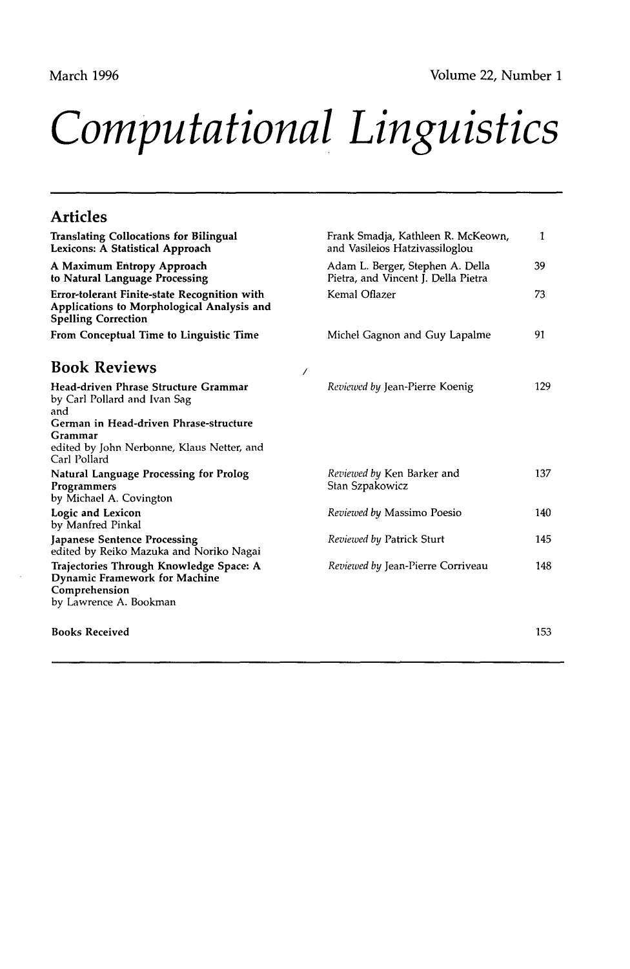# *Computational Linguistics*

# **Articles**

| <b>Translating Collocations for Bilingual</b><br>Lexicons: A Statistical Approach                                                                                                              | Frank Smadja, Kathleen R. McKeown,<br>and Vasileios Hatzivassiloglou    | 1   |
|------------------------------------------------------------------------------------------------------------------------------------------------------------------------------------------------|-------------------------------------------------------------------------|-----|
| A Maximum Entropy Approach<br>to Natural Language Processing                                                                                                                                   | Adam L. Berger, Stephen A. Della<br>Pietra, and Vincent J. Della Pietra | 39  |
| Error-tolerant Finite-state Recognition with<br>Applications to Morphological Analysis and<br><b>Spelling Correction</b>                                                                       | Kemal Oflazer                                                           | 73  |
| From Conceptual Time to Linguistic Time                                                                                                                                                        | Michel Gagnon and Guy Lapalme                                           | 91  |
| <b>Book Reviews</b>                                                                                                                                                                            |                                                                         |     |
| Head-driven Phrase Structure Grammar<br>by Carl Pollard and Ivan Sag<br>and<br>German in Head-driven Phrase-structure<br>Grammar<br>edited by John Nerbonne, Klaus Netter, and<br>Carl Pollard | Reviewed by Jean-Pierre Koenig                                          | 129 |
| <b>Natural Language Processing for Prolog</b><br>Programmers<br>by Michael A. Covington                                                                                                        | Reviewed by Ken Barker and<br>Stan Szpakowicz                           | 137 |
| Logic and Lexicon<br>by Manfred Pinkal                                                                                                                                                         | Reviewed by Massimo Poesio                                              | 140 |
| Japanese Sentence Processing<br>edited by Reiko Mazuka and Noriko Nagai                                                                                                                        | Reviewed by Patrick Sturt                                               | 145 |
| Trajectories Through Knowledge Space: A<br><b>Dynamic Framework for Machine</b><br>Comprehension<br>by Lawrence A. Bookman                                                                     | Reviewed by Jean-Pierre Corriveau                                       | 148 |
| <b>Books Received</b>                                                                                                                                                                          |                                                                         | 153 |